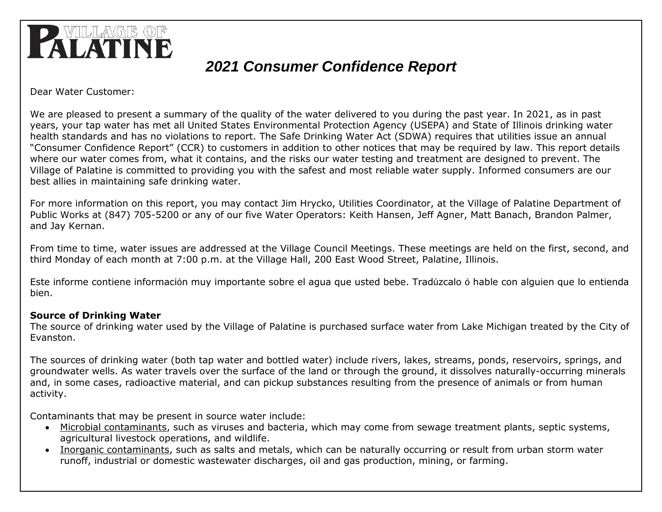

# *2021 Consumer Confidence Report*

Dear Water Customer:

We are pleased to present a summary of the quality of the water delivered to you during the past year. In 2021, as in past years, your tap water has met all United States Environmental Protection Agency (USEPA) and State of Illinois drinking water health standards and has no violations to report. The Safe Drinking Water Act (SDWA) requires that utilities issue an annual "Consumer Confidence Report" (CCR) to customers in addition to other notices that may be required by law. This report details where our water comes from, what it contains, and the risks our water testing and treatment are designed to prevent. The Village of Palatine is committed to providing you with the safest and most reliable water supply. Informed consumers are our best allies in maintaining safe drinking water.

For more information on this report, you may contact Jim Hrycko, Utilities Coordinator, at the Village of Palatine Department of Public Works at (847) 705-5200 or any of our five Water Operators: Keith Hansen, Jeff Agner, Matt Banach, Brandon Palmer, and Jay Kernan.

From time to time, water issues are addressed at the Village Council Meetings. These meetings are held on the first, second, and third Monday of each month at 7:00 p.m. at the Village Hall, 200 East Wood Street, Palatine, Illinois.

Este informe contiene información muy importante sobre el agua que usted bebe. Tradúzcalo ó hable con alguien que lo entienda bien.

#### **Source of Drinking Water**

The source of drinking water used by the Village of Palatine is purchased surface water from Lake Michigan treated by the City of Evanston.

The sources of drinking water (both tap water and bottled water) include rivers, lakes, streams, ponds, reservoirs, springs, and groundwater wells. As water travels over the surface of the land or through the ground, it dissolves naturally-occurring minerals and, in some cases, radioactive material, and can pickup substances resulting from the presence of animals or from human activity.

Contaminants that may be present in source water include:

- Microbial contaminants, such as viruses and bacteria, which may come from sewage treatment plants, septic systems, agricultural livestock operations, and wildlife.
- Inorganic contaminants, such as salts and metals, which can be naturally occurring or result from urban storm water runoff, industrial or domestic wastewater discharges, oil and gas production, mining, or farming.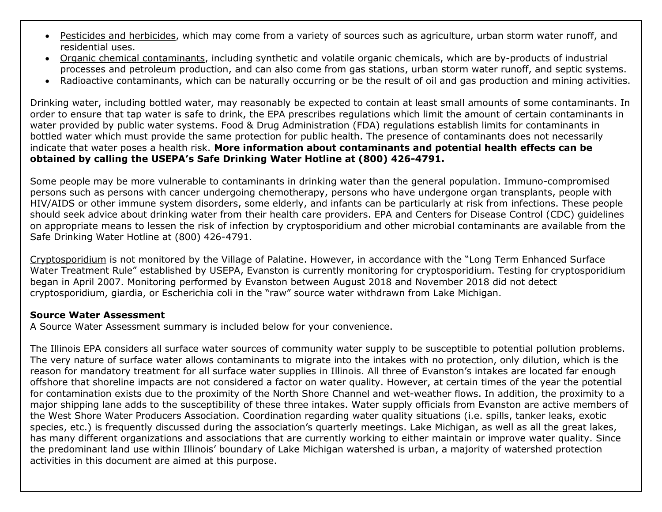- Pesticides and herbicides, which may come from a variety of sources such as agriculture, urban storm water runoff, and residential uses.
- Organic chemical contaminants, including synthetic and volatile organic chemicals, which are by-products of industrial processes and petroleum production, and can also come from gas stations, urban storm water runoff, and septic systems.
- Radioactive contaminants, which can be naturally occurring or be the result of oil and gas production and mining activities.

Drinking water, including bottled water, may reasonably be expected to contain at least small amounts of some contaminants. In order to ensure that tap water is safe to drink, the EPA prescribes regulations which limit the amount of certain contaminants in water provided by public water systems. Food & Drug Administration (FDA) regulations establish limits for contaminants in bottled water which must provide the same protection for public health. The presence of contaminants does not necessarily indicate that water poses a health risk. **More information about contaminants and potential health effects can be obtained by calling the USEPA's Safe Drinking Water Hotline at (800) 426-4791.**

Some people may be more vulnerable to contaminants in drinking water than the general population. Immuno-compromised persons such as persons with cancer undergoing chemotherapy, persons who have undergone organ transplants, people with HIV/AIDS or other immune system disorders, some elderly, and infants can be particularly at risk from infections. These people should seek advice about drinking water from their health care providers. EPA and Centers for Disease Control (CDC) guidelines on appropriate means to lessen the risk of infection by cryptosporidium and other microbial contaminants are available from the Safe Drinking Water Hotline at (800) 426-4791.

Cryptosporidium is not monitored by the Village of Palatine. However, in accordance with the "Long Term Enhanced Surface Water Treatment Rule" established by USEPA, Evanston is currently monitoring for cryptosporidium. Testing for cryptosporidium began in April 2007. Monitoring performed by Evanston between August 2018 and November 2018 did not detect cryptosporidium, giardia, or Escherichia coli in the "raw" source water withdrawn from Lake Michigan.

#### **Source Water Assessment**

A Source Water Assessment summary is included below for your convenience.

The Illinois EPA considers all surface water sources of community water supply to be susceptible to potential pollution problems. The very nature of surface water allows contaminants to migrate into the intakes with no protection, only dilution, which is the reason for mandatory treatment for all surface water supplies in Illinois. All three of Evanston's intakes are located far enough offshore that shoreline impacts are not considered a factor on water quality. However, at certain times of the year the potential for contamination exists due to the proximity of the North Shore Channel and wet-weather flows. In addition, the proximity to a major shipping lane adds to the susceptibility of these three intakes. Water supply officials from Evanston are active members of the West Shore Water Producers Association. Coordination regarding water quality situations (i.e. spills, tanker leaks, exotic species, etc.) is frequently discussed during the association's quarterly meetings. Lake Michigan, as well as all the great lakes, has many different organizations and associations that are currently working to either maintain or improve water quality. Since the predominant land use within Illinois' boundary of Lake Michigan watershed is urban, a majority of watershed protection activities in this document are aimed at this purpose.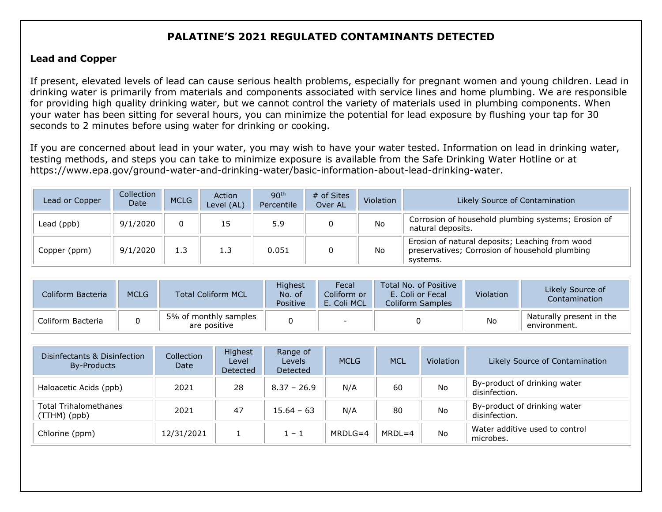## **PALATINE'S 2021 REGULATED CONTAMINANTS DETECTED**

#### **Lead and Copper**

If present, elevated levels of lead can cause serious health problems, especially for pregnant women and young children. Lead in drinking water is primarily from materials and components associated with service lines and home plumbing. We are responsible for providing high quality drinking water, but we cannot control the variety of materials used in plumbing components. When your water has been sitting for several hours, you can minimize the potential for lead exposure by flushing your tap for 30 seconds to 2 minutes before using water for drinking or cooking.

If you are concerned about lead in your water, you may wish to have your water tested. Information on lead in drinking water, testing methods, and steps you can take to minimize exposure is available from the Safe Drinking Water Hotline or at [https://www.epa.gov/ground-water-and-drinking-water/basic-information-about-lead-drinking-water.](https://www.epa.gov/ground-water-and-drinking-water/basic-information-about-lead-drinking-water)

| Lead or Copper | Collection<br>Date | <b>MCLG</b> | Action<br>Level (AL) | 90 <sup>th</sup><br>Percentile | # of Sites<br>Over AL | Violation | Likely Source of Contamination                                                                                |
|----------------|--------------------|-------------|----------------------|--------------------------------|-----------------------|-----------|---------------------------------------------------------------------------------------------------------------|
| Lead (ppb)     | 9/1/2020           | $\mathbf 0$ | 15                   | 5.9                            |                       | <b>No</b> | Corrosion of household plumbing systems; Erosion of<br>natural deposits.                                      |
| Copper (ppm)   | 9/1/2020           | 1.3         | 1.3                  | 0.051                          |                       | <b>No</b> | Erosion of natural deposits; Leaching from wood<br>preservatives; Corrosion of household plumbing<br>systems. |

| Coliform Bacteria | <b>MCLG</b> | <b>Total Coliform MCL</b>             | <b>Highest</b><br>No. of<br>Positive | Fecal<br>Coliform or<br>E. Coli MCL | Total No. of Positive<br>E. Coli or Fecal<br><b>Coliform Samples</b> | Violation | Likely Source of<br>Contamination        |
|-------------------|-------------|---------------------------------------|--------------------------------------|-------------------------------------|----------------------------------------------------------------------|-----------|------------------------------------------|
| Coliform Bacteria |             | 5% of monthly samples<br>are positive |                                      |                                     |                                                                      | No        | Naturally present in the<br>environment. |

| Disinfectants & Disinfection<br>By-Products    | Collection<br>Date | Highest<br>Level<br><b>Detected</b> | Range of<br>Levels<br>Detected | <b>MCLG</b> | <b>MCL</b> | Violation | Likely Source of Contamination                |
|------------------------------------------------|--------------------|-------------------------------------|--------------------------------|-------------|------------|-----------|-----------------------------------------------|
| Haloacetic Acids (ppb)                         | 2021               | 28                                  | $8.37 - 26.9$                  | N/A         | 60         | <b>No</b> | By-product of drinking water<br>disinfection. |
| <b>Total Trihalomethanes</b><br>$(TTHM)$ (ppb) | 2021               | 47                                  | $15.64 - 63$                   | N/A         | 80         | <b>No</b> | By-product of drinking water<br>disinfection. |
| Chlorine (ppm)                                 | 12/31/2021         |                                     | $1 - 1$                        | MRDI $G=4$  | $MRDL=4$   | No        | Water additive used to control<br>microbes.   |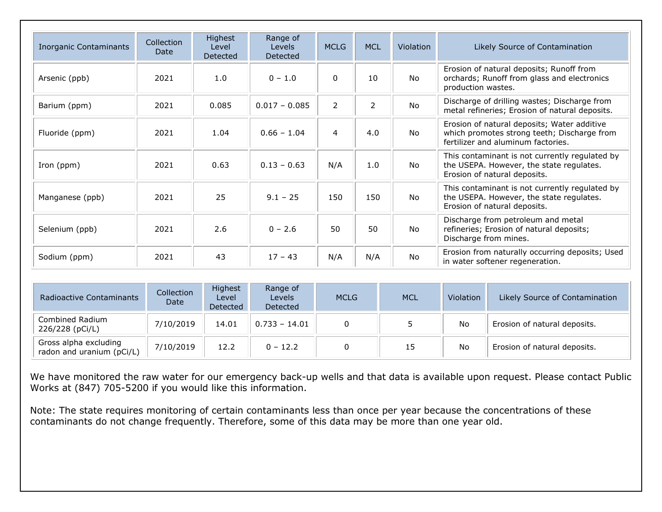| <b>Inorganic Contaminants</b> | Collection<br>Date | Highest<br>Level<br>Detected | Range of<br><b>Levels</b><br>Detected | <b>MCLG</b>    | <b>MCL</b> | <b>Violation</b> | Likely Source of Contamination                                                                                                   |
|-------------------------------|--------------------|------------------------------|---------------------------------------|----------------|------------|------------------|----------------------------------------------------------------------------------------------------------------------------------|
| Arsenic (ppb)                 | 2021               | 1.0                          | $0 - 1.0$                             | $\mathbf{0}$   | 10         | <b>No</b>        | Erosion of natural deposits; Runoff from<br>orchards; Runoff from glass and electronics<br>production wastes.                    |
| Barium (ppm)                  | 2021               | 0.085                        | $0.017 - 0.085$                       | $\overline{2}$ | 2          | <b>No</b>        | Discharge of drilling wastes; Discharge from<br>metal refineries; Erosion of natural deposits.                                   |
| Fluoride (ppm)                | 2021               | 1.04                         | $0.66 - 1.04$                         | $\overline{a}$ | 4.0        | <b>No</b>        | Erosion of natural deposits; Water additive<br>which promotes strong teeth; Discharge from<br>fertilizer and aluminum factories. |
| Iron (ppm)                    | 2021               | 0.63                         | $0.13 - 0.63$                         | N/A            | 1.0        | <b>No</b>        | This contaminant is not currently regulated by<br>the USEPA. However, the state regulates.<br>Erosion of natural deposits.       |
| Manganese (ppb)               | 2021               | 25                           | $9.1 - 25$                            | 150            | 150        | No               | This contaminant is not currently regulated by<br>the USEPA. However, the state regulates.<br>Erosion of natural deposits.       |
| Selenium (ppb)                | 2021               | 2.6                          | $0 - 2.6$                             | 50             | 50         | <b>No</b>        | Discharge from petroleum and metal<br>refineries; Erosion of natural deposits;<br>Discharge from mines.                          |
| Sodium (ppm)                  | 2021               | 43                           | $17 - 43$                             | N/A            | N/A        | No               | Erosion from naturally occurring deposits; Used<br>in water softener regeneration.                                               |

| <b>Radioactive Contaminants</b>                    | Collection<br>Date | Highest<br>Level<br>Detected | Range of<br><b>Levels</b><br>Detected | <b>MCLG</b>  | <b>MCL</b> | Violation | Likely Source of Contamination |
|----------------------------------------------------|--------------------|------------------------------|---------------------------------------|--------------|------------|-----------|--------------------------------|
| Combined Radium<br>226/228 (pCi/L)                 | 7/10/2019          | 14.01                        | $0.733 - 14.01$                       | <sup>n</sup> |            | No        | Erosion of natural deposits.   |
| Gross alpha excluding<br>radon and uranium (pCi/L) | 7/10/2019          | 12.2                         | $0 - 12.2$                            |              | 15         | No        | Erosion of natural deposits.   |

We have monitored the raw water for our emergency back-up wells and that data is available upon request. Please contact Public Works at (847) 705-5200 if you would like this information.

Note: The state requires monitoring of certain contaminants less than once per year because the concentrations of these contaminants do not change frequently. Therefore, some of this data may be more than one year old.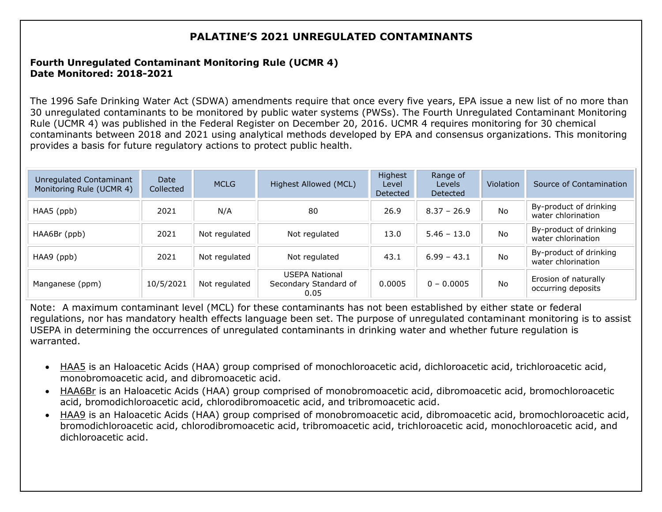## **PALATINE'S 2021 UNREGULATED CONTAMINANTS**

### **Fourth Unregulated Contaminant Monitoring Rule (UCMR 4) Date Monitored: 2018-2021**

The 1996 Safe Drinking Water Act (SDWA) amendments require that once every five years, EPA issue a new list of no more than 30 unregulated contaminants to be monitored by public water systems (PWSs). The Fourth Unregulated Contaminant Monitoring Rule (UCMR 4) was published in the Federal Register on December 20, 2016. UCMR 4 requires monitoring for 30 chemical contaminants between 2018 and 2021 using analytical methods developed by EPA and consensus organizations. This monitoring provides a basis for future regulatory actions to protect public health.

| Unregulated Contaminant<br>Monitoring Rule (UCMR 4) | Date<br>Collected | <b>MCLG</b>   | Highest Allowed (MCL)                                  | Highest<br>Level<br>Detected | Range of<br>Levels<br>Detected | Violation | Source of Contamination                      |
|-----------------------------------------------------|-------------------|---------------|--------------------------------------------------------|------------------------------|--------------------------------|-----------|----------------------------------------------|
| HAA5 (ppb)                                          | 2021              | N/A           | 80                                                     | 26.9                         | $8.37 - 26.9$                  | No        | By-product of drinking<br>water chlorination |
| HAA6Br (ppb)                                        | 2021              | Not regulated | Not regulated                                          | 13.0                         | $5.46 - 13.0$                  | No        | By-product of drinking<br>water chlorination |
| HAA9 (ppb)                                          | 2021              | Not regulated | Not regulated                                          | 43.1                         | $6.99 - 43.1$                  | <b>No</b> | By-product of drinking<br>water chlorination |
| Manganese (ppm)                                     | 10/5/2021         | Not regulated | <b>USEPA National</b><br>Secondary Standard of<br>0.05 | 0.0005                       | $0 - 0.0005$                   | <b>No</b> | Erosion of naturally<br>occurring deposits   |

Note: A maximum contaminant level (MCL) for these contaminants has not been established by either state or federal regulations, nor has mandatory health effects language been set. The purpose of unregulated contaminant monitoring is to assist USEPA in determining the occurrences of unregulated contaminants in drinking water and whether future regulation is warranted.

- HAA5 is an Haloacetic Acids (HAA) group comprised of monochloroacetic acid, dichloroacetic acid, trichloroacetic acid, monobromoacetic acid, and dibromoacetic acid.
- HAA6Br is an Haloacetic Acids (HAA) group comprised of monobromoacetic acid, dibromoacetic acid, bromochloroacetic acid, bromodichloroacetic acid, chlorodibromoacetic acid, and tribromoacetic acid.
- HAA9 is an Haloacetic Acids (HAA) group comprised of monobromoacetic acid, dibromoacetic acid, bromochloroacetic acid, bromodichloroacetic acid, chlorodibromoacetic acid, tribromoacetic acid, trichloroacetic acid, monochloroacetic acid, and dichloroacetic acid.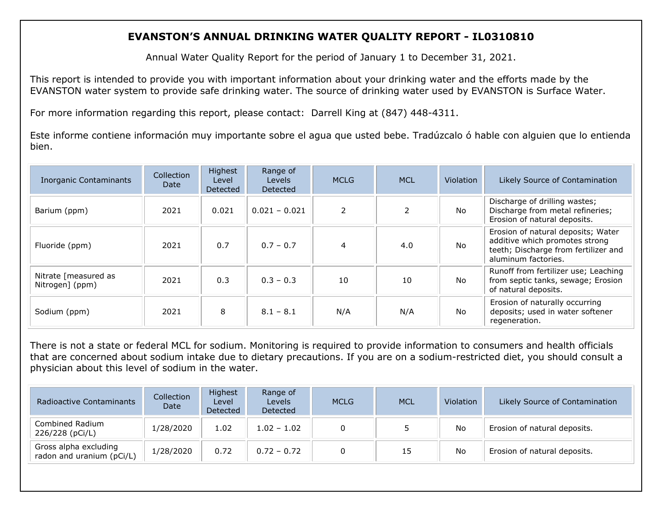## **EVANSTON'S ANNUAL DRINKING WATER QUALITY REPORT - IL0310810**

Annual Water Quality Report for the period of January 1 to December 31, 2021.

This report is intended to provide you with important information about your drinking water and the efforts made by the EVANSTON water system to provide safe drinking water. The source of drinking water used by EVANSTON is Surface Water.

For more information regarding this report, please contact: Darrell King at (847) 448-4311.

Este informe contiene información muy importante sobre el agua que usted bebe. Tradúzcalo ó hable con alguien que lo entienda bien.

| <b>Inorganic Contaminants</b>           | Collection<br>Date | Highest<br>Level<br>Detected | Range of<br>Levels<br>Detected | <b>MCLG</b>    | <b>MCL</b> | <b>Violation</b> | Likely Source of Contamination                                                                                                      |
|-----------------------------------------|--------------------|------------------------------|--------------------------------|----------------|------------|------------------|-------------------------------------------------------------------------------------------------------------------------------------|
| Barium (ppm)                            | 2021               | 0.021                        | $0.021 - 0.021$                | $\mathcal{P}$  |            | No.              | Discharge of drilling wastes;<br>Discharge from metal refineries;<br>Erosion of natural deposits.                                   |
| Fluoride (ppm)                          | 2021               | 0.7                          | $0.7 - 0.7$                    | $\overline{4}$ | 4.0        | <b>No</b>        | Erosion of natural deposits; Water<br>additive which promotes strong<br>teeth; Discharge from fertilizer and<br>aluminum factories. |
| Nitrate [measured as<br>Nitrogen] (ppm) | 2021               | 0.3                          | $0.3 - 0.3$                    | 10             | 10         | No.              | Runoff from fertilizer use; Leaching<br>from septic tanks, sewage; Erosion<br>of natural deposits.                                  |
| Sodium (ppm)                            | 2021               | 8                            | $8.1 - 8.1$                    | N/A            | N/A        | No.              | Erosion of naturally occurring<br>deposits; used in water softener<br>regeneration.                                                 |

There is not a state or federal MCL for sodium. Monitoring is required to provide information to consumers and health officials that are concerned about sodium intake due to dietary precautions. If you are on a sodium-restricted diet, you should consult a physician about this level of sodium in the water.

| <b>Radioactive Contaminants</b>                    | <b>Collection</b><br>Date | Highest<br>Level<br>Detected | Range of<br>Levels<br>Detected | <b>MCLG</b> | <b>MCL</b> | Violation | Likely Source of Contamination |
|----------------------------------------------------|---------------------------|------------------------------|--------------------------------|-------------|------------|-----------|--------------------------------|
| Combined Radium<br>226/228 (pCi/L)                 | 1/28/2020                 | 1.02                         | $1.02 - 1.02$                  |             |            | No        | Erosion of natural deposits.   |
| Gross alpha excluding<br>radon and uranium (pCi/L) | 1/28/2020                 | 0.72                         | $0.72 - 0.72$                  |             | 15         | No        | Erosion of natural deposits.   |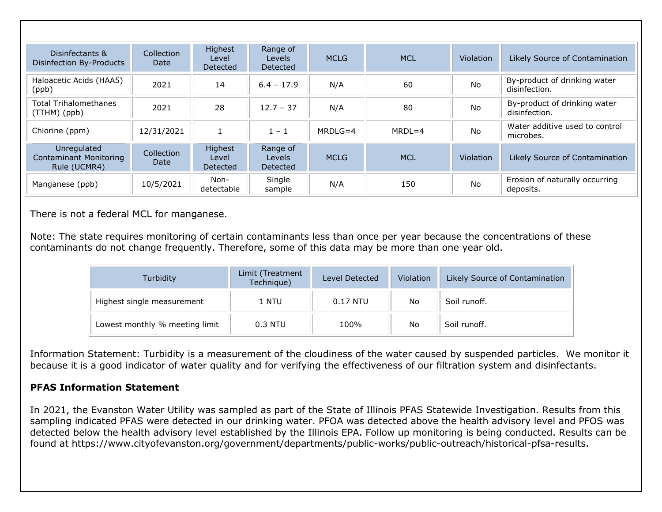| Disinfectants &<br>Disinfection By-Products                  | Collection<br>Date | <b>Highest</b><br>Level<br>Detected | Range of<br>Levels<br>Detected        | <b>MCLG</b> | <b>MCL</b> | <b>Violation</b> | Likely Source of Contamination                |
|--------------------------------------------------------------|--------------------|-------------------------------------|---------------------------------------|-------------|------------|------------------|-----------------------------------------------|
| Haloacetic Acids (HAA5)<br>(ppb)                             | 2021               | 14                                  | $6.4 - 17.9$                          | N/A         | 60         | <b>No</b>        | By-product of drinking water<br>disinfection. |
| <b>Total Trihalomethanes</b><br>$(TTHM)$ (ppb)               | 2021               | 28                                  | $12.7 - 37$                           | N/A         | 80         | <b>No</b>        | By-product of drinking water<br>disinfection. |
| Chlorine (ppm)                                               | 12/31/2021         |                                     | $1 - 1$                               | MRDI $G=4$  | $MRDI = 4$ | <b>No</b>        | Water additive used to control<br>microbes.   |
| Unregulated<br><b>Contaminant Monitoring</b><br>Rule (UCMR4) | Collection<br>Date | Highest<br>Level<br>Detected        | Range of<br><b>Levels</b><br>Detected | <b>MCLG</b> | <b>MCL</b> | <b>Violation</b> | Likely Source of Contamination                |
| Manganese (ppb)                                              | 10/5/2021          | Non-<br>detectable                  | Single<br>sample                      | N/A         | 150        | <b>No</b>        | Erosion of naturally occurring<br>deposits.   |

There is not a federal MCL for manganese.

Note: The state requires monitoring of certain contaminants less than once per year because the concentrations of these contaminants do not change frequently. Therefore, some of this data may be more than one year old.

| Turbidity                      | Limit (Treatment<br>Technique) | Level Detected | Violation | Likely Source of Contamination |
|--------------------------------|--------------------------------|----------------|-----------|--------------------------------|
| Highest single measurement     | 1 NTU                          | $0.17$ NTU     | No        | Soil runoff.                   |
| Lowest monthly % meeting limit | $0.3$ NTU                      | 100%           | No        | Soil runoff.                   |

Information Statement: Turbidity is a measurement of the cloudiness of the water caused by suspended particles. We monitor it because it is a good indicator of water quality and for verifying the effectiveness of our filtration system and disinfectants.

#### **PFAS Information Statement**

In 2021, the Evanston Water Utility was sampled as part of the State of Illinois PFAS Statewide Investigation. Results from this sampling indicated PFAS were detected in our drinking water. PFOA was detected above the health advisory level and PFOS was detected below the health advisory level established by the Illinois EPA. Follow up monitoring is being conducted. Results can be found at [https://www.cityofevanston.org/government/departments/public-works/public-outreach/historical-pfsa-results.](https://www.cityofevanston.org/government/departments/public-works/public-outreach/historical-pfsa-results)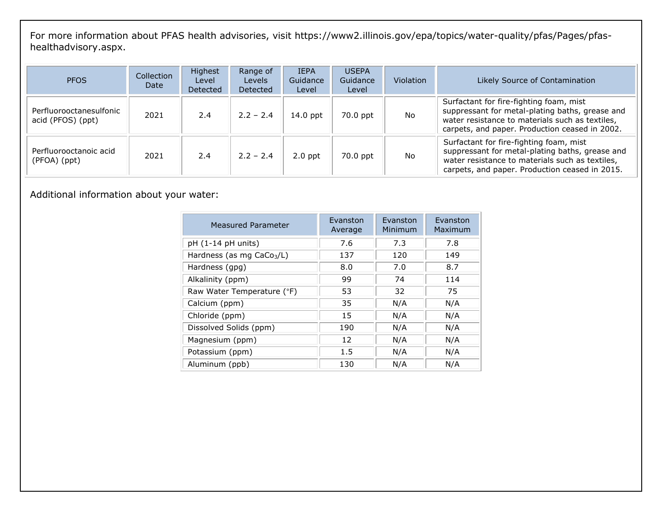For more information about PFAS health advisories, visit [https://www2.illinois.gov/epa/topics/water-quality/pfas/Pages/pfas](https://www2.illinois.gov/epa/topics/water-quality/pfas/Pages/pfas-healthadvisory.aspx)[healthadvisory.aspx.](https://www2.illinois.gov/epa/topics/water-quality/pfas/Pages/pfas-healthadvisory.aspx)

| <b>PFOS</b>                                  | Collection<br>Date | <b>Highest</b><br>Level<br>Detected | Range of<br><b>Levels</b><br><b>Detected</b> | <b>IEPA</b><br>Guidance<br>Level | <b>USEPA</b><br>Guidance<br>Level | <b>Violation</b> | Likely Source of Contamination                                                                                                                                                                  |
|----------------------------------------------|--------------------|-------------------------------------|----------------------------------------------|----------------------------------|-----------------------------------|------------------|-------------------------------------------------------------------------------------------------------------------------------------------------------------------------------------------------|
| Perfluorooctanesulfonic<br>acid (PFOS) (ppt) | 2021               | 2.4                                 | $2.2 - 2.4$                                  | $14.0$ ppt                       | 70.0 ppt                          | <b>No</b>        | Surfactant for fire-fighting foam, mist<br>suppressant for metal-plating baths, grease and<br>water resistance to materials such as textiles,<br>carpets, and paper. Production ceased in 2002. |
| Perfluorooctanoic acid<br>(PFOA) (ppt)       | 2021               | 2.4                                 | $2.2 - 2.4$                                  | $2.0$ ppt                        | 70.0 ppt                          | No               | Surfactant for fire-fighting foam, mist<br>suppressant for metal-plating baths, grease and<br>water resistance to materials such as textiles,<br>carpets, and paper. Production ceased in 2015. |

Additional information about your water:

| <b>Measured Parameter</b>   | Evanston<br>Average | Evanston<br>Minimum | Evanston<br>Maximum |
|-----------------------------|---------------------|---------------------|---------------------|
| $pH (1-14 pH units)$        | 7.6                 | 7.3                 | 7.8                 |
| Hardness (as mg $CaCo3/L$ ) | 137                 | 120                 | 149                 |
| Hardness (gpg)              | 8.0                 | 7.0                 | 8.7                 |
| Alkalinity (ppm)            | 99                  | 74                  | 114                 |
| Raw Water Temperature (°F)  | 53                  | 32                  | 75                  |
| Calcium (ppm)               | 35                  | N/A                 | N/A                 |
| Chloride (ppm)              | 15                  | N/A                 | N/A                 |
| Dissolved Solids (ppm)      | 190                 | N/A                 | N/A                 |
| Magnesium (ppm)             | 12                  | N/A                 | N/A                 |
| Potassium (ppm)             | 1.5                 | N/A                 | N/A                 |
| Aluminum (ppb)              | 130                 | N/A                 | N/A                 |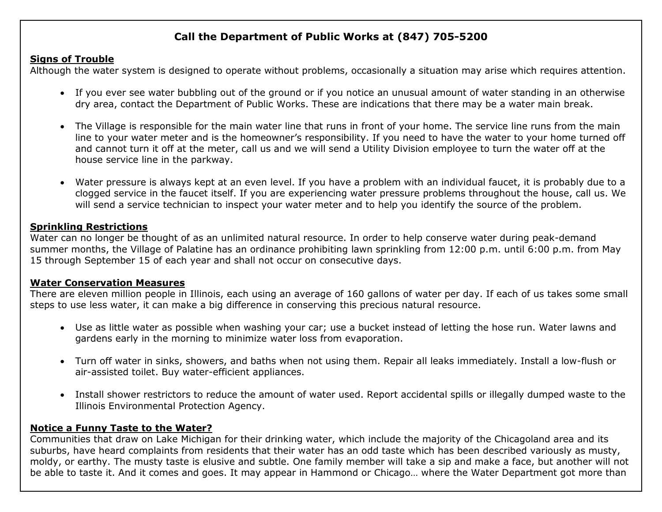## **Call the Department of Public Works at (847) 705-5200**

#### **Signs of Trouble**

Although the water system is designed to operate without problems, occasionally a situation may arise which requires attention.

- If you ever see water bubbling out of the ground or if you notice an unusual amount of water standing in an otherwise dry area, contact the Department of Public Works. These are indications that there may be a water main break.
- The Village is responsible for the main water line that runs in front of your home. The service line runs from the main line to your water meter and is the homeowner's responsibility. If you need to have the water to your home turned off and cannot turn it off at the meter, call us and we will send a Utility Division employee to turn the water off at the house service line in the parkway.
- Water pressure is always kept at an even level. If you have a problem with an individual faucet, it is probably due to a clogged service in the faucet itself. If you are experiencing water pressure problems throughout the house, call us. We will send a service technician to inspect your water meter and to help you identify the source of the problem.

### **Sprinkling Restrictions**

Water can no longer be thought of as an unlimited natural resource. In order to help conserve water during peak-demand summer months, the Village of Palatine has an ordinance prohibiting lawn sprinkling from 12:00 p.m. until 6:00 p.m. from May 15 through September 15 of each year and shall not occur on consecutive days.

#### **Water Conservation Measures**

There are eleven million people in Illinois, each using an average of 160 gallons of water per day. If each of us takes some small steps to use less water, it can make a big difference in conserving this precious natural resource.

- Use as little water as possible when washing your car; use a bucket instead of letting the hose run. Water lawns and gardens early in the morning to minimize water loss from evaporation.
- Turn off water in sinks, showers, and baths when not using them. Repair all leaks immediately. Install a low-flush or air-assisted toilet. Buy water-efficient appliances.
- Install shower restrictors to reduce the amount of water used. Report accidental spills or illegally dumped waste to the Illinois Environmental Protection Agency.

#### **Notice a Funny Taste to the Water?**

Communities that draw on Lake Michigan for their drinking water, which include the majority of the Chicagoland area and its suburbs, have heard complaints from residents that their water has an odd taste which has been described variously as musty, moldy, or earthy. The musty taste is elusive and subtle. One family member will take a sip and make a face, but another will not be able to taste it. And it comes and goes. It may appear in Hammond or Chicago… where the Water Department got more than